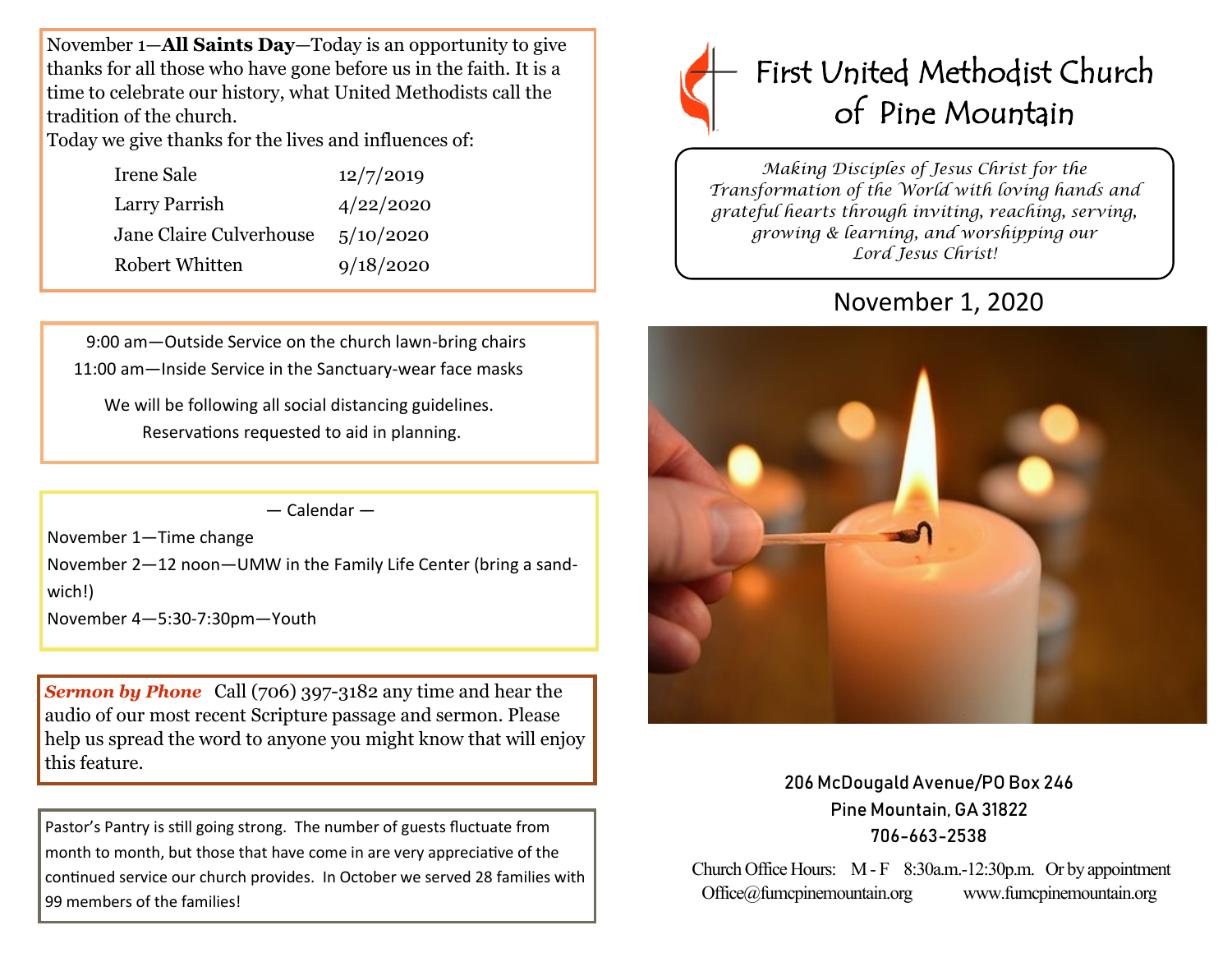November 1—**All Saints Day**—Today is an opportunity to give thanks for all those who have gone before us in the faith. It is a time to celebrate our history, what United Methodists call the tradition of the church.

Today we give thanks for the lives and influences of:

| 12/7/2019 |
|-----------|
| 4/22/2020 |
| 5/10/2020 |
| 9/18/2020 |
|           |

 9:00 am—Outside Service on the church lawn-bring chairs 11:00 am—Inside Service in the Sanctuary-wear face masks

We will be following all social distancing guidelines. Reservations requested to aid in planning.

— Calendar —

November 1—Time change

November 2—12 noon—UMW in the Family Life Center (bring a sandwich!)

November 4—5:30-7:30pm—Youth

*Sermon by Phone* Call (706) 397-3182 any time and hear the audio of our most recent Scripture passage and sermon. Please help us spread the word to anyone you might know that will enjoy this feature.

Pastor's Pantry is still going strong. The number of guests fluctuate from month to month, but those that have come in are very appreciative of the continued service our church provides. In October we served 28 families with 99 members of the families!



*Making Disciples of Jesus Christ for the Transformation of the World with loving hands and grateful hearts through inviting, reaching, serving, growing & learning, and worshipping our Lord Jesus Christ!* 

# November 1, 2020



206 McDougald Avenue/PO Box 246 Pine Mountain, GA 31822 706-663-2538

Church Office Hours: M - F 8:30a.m.-12:30p.m. Or by appointment Office@fumcpinemountain.org www.fumcpinemountain.org